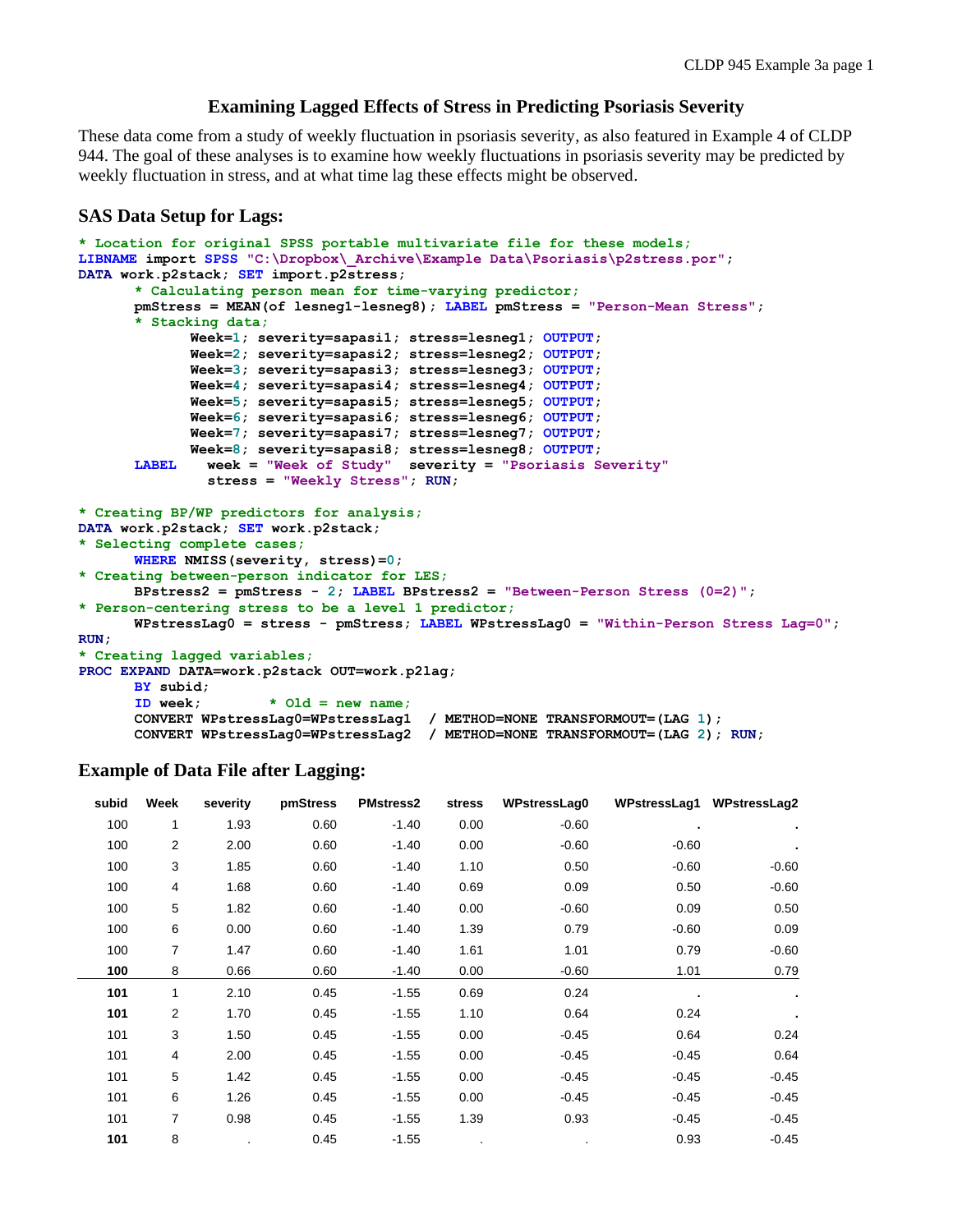### **Examining Lagged Effects of Stress in Predicting Psoriasis Severity**

These data come from a study of weekly fluctuation in psoriasis severity, as also featured in Example 4 of CLDP 944. The goal of these analyses is to examine how weekly fluctuations in psoriasis severity may be predicted by weekly fluctuation in stress, and at what time lag these effects might be observed.

#### **SAS Data Setup for Lags:**

```
* Location for original SPSS portable multivariate file for these models;
LIBNAME import SPSS "C:\Dropbox\_Archive\Example Data\Psoriasis\p2stress.por";
DATA work.p2stack; SET import.p2stress;
      * Calculating person mean for time-varying predictor;
      pmStress = MEAN(of lesneg1-lesneg8); LABEL pmStress = "Person-Mean Stress"; 
      * Stacking data;
             Week=1; severity=sapasi1; stress=lesneg1; OUTPUT;
             Week=2; severity=sapasi2; stress=lesneg2; OUTPUT;
             Week=3; severity=sapasi3; stress=lesneg3; OUTPUT;
             Week=4; severity=sapasi4; stress=lesneg4; OUTPUT;
             Week=5; severity=sapasi5; stress=lesneg5; OUTPUT;
             Week=6; severity=sapasi6; stress=lesneg6; OUTPUT;
             Week=7; severity=sapasi7; stress=lesneg7; OUTPUT;
             Week=8; severity=sapasi8; stress=lesneg8; OUTPUT; 
      LABEL week = "Week of Study" severity = "Psoriasis Severity"
                stress = "Weekly Stress"; RUN;
* Creating BP/WP predictors for analysis;
DATA work.p2stack; SET work.p2stack;
* Selecting complete cases;
      WHERE NMISS(severity, stress)=0;
* Creating between-person indicator for LES;
      BPstress2 = pmStress - 2; LABEL BPstress2 = "Between-Person Stress (0=2)";
* Person-centering stress to be a level 1 predictor;
      WPstressLag0 = stress - pmStress; LABEL WPstressLag0 = "Within-Person Stress Lag=0";
RUN;
* Creating lagged variables;
PROC EXPAND DATA=work.p2stack OUT=work.p2lag;
      BY subid;
      ID week; * Old = new name;
      CONVERT WPstressLag0=WPstressLag1 / METHOD=NONE TRANSFORMOUT=(LAG 1);
      CONVERT WPstressLag0=WPstressLag2 / METHOD=NONE TRANSFORMOUT=(LAG 2); RUN;
```
#### **Example of Data File after Lagging:**

| subid | Week | severity | pmStress | <b>PMstress2</b> | stress | WPstressLag0 | WPstressLag1 | <b>WPstressLag2</b> |
|-------|------|----------|----------|------------------|--------|--------------|--------------|---------------------|
| 100   | 1    | 1.93     | 0.60     | $-1.40$          | 0.00   | $-0.60$      |              |                     |
| 100   | 2    | 2.00     | 0.60     | $-1.40$          | 0.00   | $-0.60$      | $-0.60$      |                     |
| 100   | 3    | 1.85     | 0.60     | $-1.40$          | 1.10   | 0.50         | $-0.60$      | $-0.60$             |
| 100   | 4    | 1.68     | 0.60     | $-1.40$          | 0.69   | 0.09         | 0.50         | $-0.60$             |
| 100   | 5    | 1.82     | 0.60     | $-1.40$          | 0.00   | $-0.60$      | 0.09         | 0.50                |
| 100   | 6    | 0.00     | 0.60     | $-1.40$          | 1.39   | 0.79         | $-0.60$      | 0.09                |
| 100   | 7    | 1.47     | 0.60     | $-1.40$          | 1.61   | 1.01         | 0.79         | $-0.60$             |
| 100   | 8    | 0.66     | 0.60     | $-1.40$          | 0.00   | $-0.60$      | 1.01         | 0.79                |
| 101   | 1    | 2.10     | 0.45     | $-1.55$          | 0.69   | 0.24         |              |                     |
| 101   | 2    | 1.70     | 0.45     | $-1.55$          | 1.10   | 0.64         | 0.24         |                     |
| 101   | 3    | 1.50     | 0.45     | $-1.55$          | 0.00   | $-0.45$      | 0.64         | 0.24                |
| 101   | 4    | 2.00     | 0.45     | $-1.55$          | 0.00   | $-0.45$      | $-0.45$      | 0.64                |
| 101   | 5    | 1.42     | 0.45     | $-1.55$          | 0.00   | $-0.45$      | $-0.45$      | $-0.45$             |
| 101   | 6    | 1.26     | 0.45     | $-1.55$          | 0.00   | $-0.45$      | $-0.45$      | $-0.45$             |
| 101   | 7    | 0.98     | 0.45     | $-1.55$          | 1.39   | 0.93         | $-0.45$      | $-0.45$             |
| 101   | 8    |          | 0.45     | $-1.55$          |        |              | 0.93         | $-0.45$             |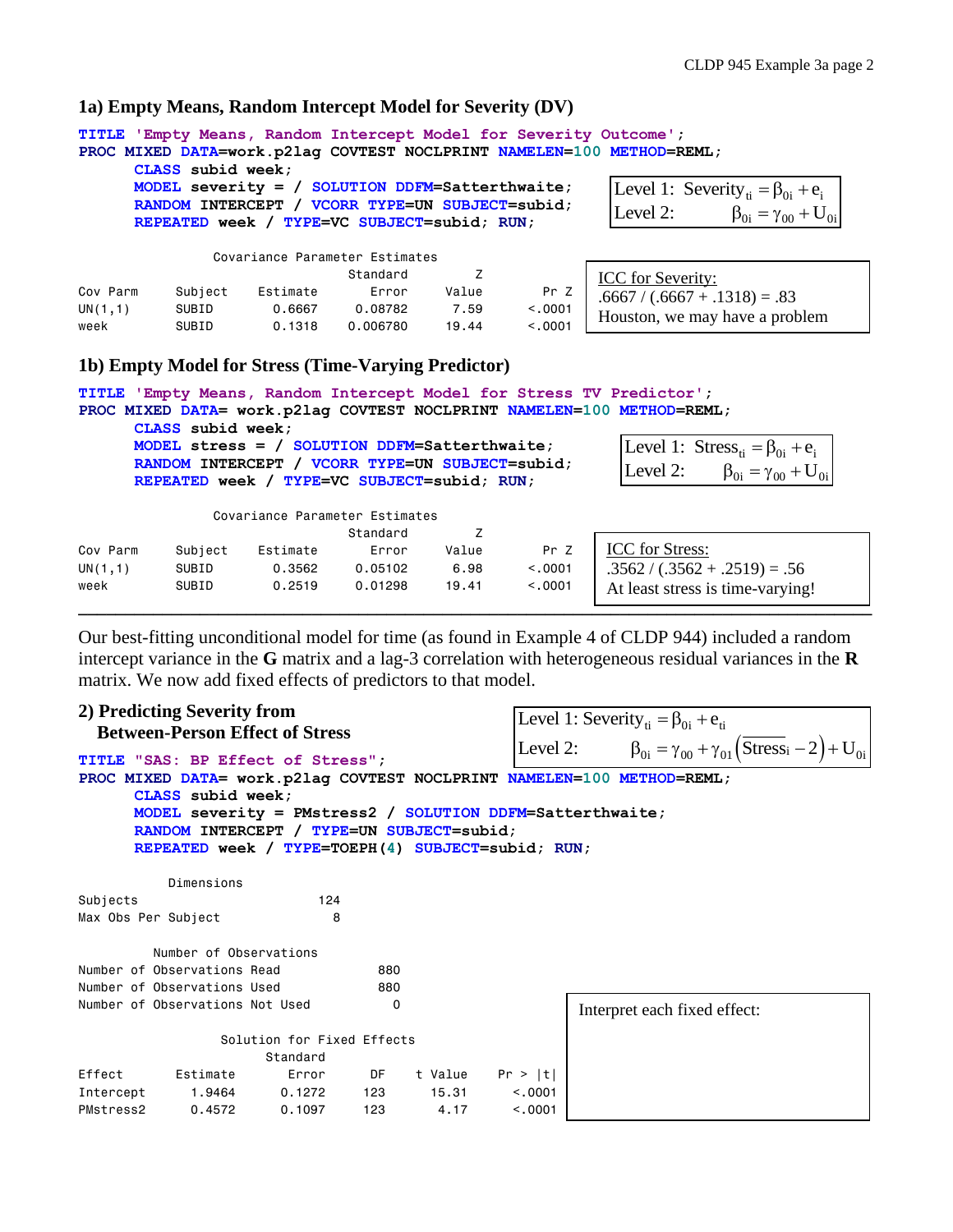## **1a) Empty Means, Random Intercept Model for Severity (DV)**

| TITLE 'Empty Means, Random Intercept Model for Severity Outcome';<br>PROC MIXED DATA=work.p21ag COVTEST NOCLPRINT NAMELEN=100 METHOD=REML;<br>CLASS subid week;<br>MODEL severity = $/$ SOLUTION DDFM=Satterthwaite;<br>Level 1: Severity <sub>ti</sub> = $\beta_{0i}$ + $e_i$<br>RANDOM INTERCEPT / VCORR TYPE=UN SUBJECT=subid;<br>$\beta_{0i} = \gamma_{00} + U_{0i}$<br>Level 2:<br>REPEATED week / TYPE=VC SUBJECT=subid; RUN; |         |                          |          |             |         |                                 |  |  |  |  |
|-------------------------------------------------------------------------------------------------------------------------------------------------------------------------------------------------------------------------------------------------------------------------------------------------------------------------------------------------------------------------------------------------------------------------------------|---------|--------------------------|----------|-------------|---------|---------------------------------|--|--|--|--|
| Covariance Parameter Estimates                                                                                                                                                                                                                                                                                                                                                                                                      |         |                          |          |             |         |                                 |  |  |  |  |
|                                                                                                                                                                                                                                                                                                                                                                                                                                     |         |                          | Standard | Z           |         | <b>ICC</b> for Severity:        |  |  |  |  |
| Cov Parm                                                                                                                                                                                                                                                                                                                                                                                                                            | Subject | Estimate                 |          | Error Value | Pr Z    | $.6667 / (.6667 + .1318) = .83$ |  |  |  |  |
| UN(1,1)                                                                                                                                                                                                                                                                                                                                                                                                                             | SUBID   | 0.6667   0.08782    7.59 |          |             | < 0.001 |                                 |  |  |  |  |
| week                                                                                                                                                                                                                                                                                                                                                                                                                                | SUBID   |                          |          |             | < 0.001 | Houston, we may have a problem  |  |  |  |  |
| 1b) Empty Model for Stress (Time-Varying Predictor)                                                                                                                                                                                                                                                                                                                                                                                 |         |                          |          |             |         |                                 |  |  |  |  |
| TITLE 'Empty Means, Random Intercept Model for Stress TV Predictor';<br>PROC MIXED DATA= work.p21ag COVTEST NOCLPRINT NAMELEN=100 METHOD=REML;<br>CLASS subid week;<br>Level 1: $\text{Stress}_{\text{ti}} = \beta_{0i} + e_i$<br>MODEL stress = $/$ SOLUTION DDFM=Satterthwaite;                                                                                                                                                   |         |                          |          |             |         |                                 |  |  |  |  |
| RANDOM INTERCEPT / VCORR TYPE=UN SUBJECT=subid;<br>Level 2: $\beta_{0i} = \gamma_{00} + U_{0i}$<br>REPEATED week / TYPE=VC SUBJECT=subid; RUN;<br>Covariance Parameter Estimates                                                                                                                                                                                                                                                    |         |                          |          |             |         |                                 |  |  |  |  |
| $C + \alpha$                                                                                                                                                                                                                                                                                                                                                                                                                        |         |                          |          |             |         |                                 |  |  |  |  |

|          |         |          | Standard |       |         |                                  |
|----------|---------|----------|----------|-------|---------|----------------------------------|
| Cov Parm | Subject | Estimate | Error    | Value | Pr Z    | <b>ICC</b> for Stress:           |
| UN(1,1)  | SUBID   | 0.3562   | 0.05102  | 6.98  | < 0.001 | $.3562 / (.3562 + .2519) = .56$  |
| week     | SUBID   | 0.2519   | 0.01298  | 19.41 | < .0001 | At least stress is time-varying! |
|          |         |          |          |       |         |                                  |

Our best-fitting unconditional model for time (as found in Example 4 of CLDP 944) included a random intercept variance in the **G** matrix and a lag-3 correlation with heterogeneous residual variances in the **R** matrix. We now add fixed effects of predictors to that model.

|                     | 2) Predicting Severity from     |                                                                                                                                                             |     |                                                                        |                                                                                             |                              |  |  |
|---------------------|---------------------------------|-------------------------------------------------------------------------------------------------------------------------------------------------------------|-----|------------------------------------------------------------------------|---------------------------------------------------------------------------------------------|------------------------------|--|--|
|                     |                                 |                                                                                                                                                             |     |                                                                        | Level 1: Severity <sub>ti</sub> = $\beta_{0i}$ + $e_{ti}$                                   |                              |  |  |
|                     |                                 | <b>Between-Person Effect of Stress</b><br><b>TITLE "SAS: BP Effect of Stress":</b>                                                                          |     |                                                                        | Level 2: $\beta_{0i} = \gamma_{00} + \gamma_{01} (\overline{\text{Stress}}_i - 2) + U_{0i}$ |                              |  |  |
|                     | CLASS subid week;               | MODEL severity = PMstress2 / SOLUTION DDFM=Satterthwaite;<br>RANDOM INTERCEPT / TYPE=UN SUBJECT=subid;<br>REPEATED week / TYPE=TOEPH(4) SUBJECT=subid; RUN; |     | PROC MIXED DATA= work.p21ag COVTEST NOCLPRINT NAMELEN=100 METHOD=REML; |                                                                                             |                              |  |  |
|                     | Dimensions                      |                                                                                                                                                             |     |                                                                        |                                                                                             |                              |  |  |
| Subjects            |                                 | 124                                                                                                                                                         |     |                                                                        |                                                                                             |                              |  |  |
| Max Obs Per Subject |                                 | 8                                                                                                                                                           |     |                                                                        |                                                                                             |                              |  |  |
|                     | Number of Observations          |                                                                                                                                                             |     |                                                                        |                                                                                             |                              |  |  |
|                     | Number of Observations Read     |                                                                                                                                                             | 880 |                                                                        |                                                                                             |                              |  |  |
|                     | Number of Observations Used     |                                                                                                                                                             | 880 |                                                                        |                                                                                             |                              |  |  |
|                     | Number of Observations Not Used |                                                                                                                                                             | 0   |                                                                        |                                                                                             | Interpret each fixed effect: |  |  |
|                     |                                 | Solution for Fixed Effects                                                                                                                                  |     |                                                                        |                                                                                             |                              |  |  |
|                     |                                 | Standard                                                                                                                                                    |     |                                                                        |                                                                                             |                              |  |  |
| Effect              | Estimate                        | Error DF                                                                                                                                                    |     | t Value                                                                | Pr >  t                                                                                     |                              |  |  |
| Intercept           |                                 | 1.9464   0.1272   123                                                                                                                                       |     | 15.31                                                                  | < 0.0001                                                                                    |                              |  |  |
| PMstress2           | 0.4572                          | 0.1097                                                                                                                                                      | 123 | 4.17                                                                   | < 0.001                                                                                     |                              |  |  |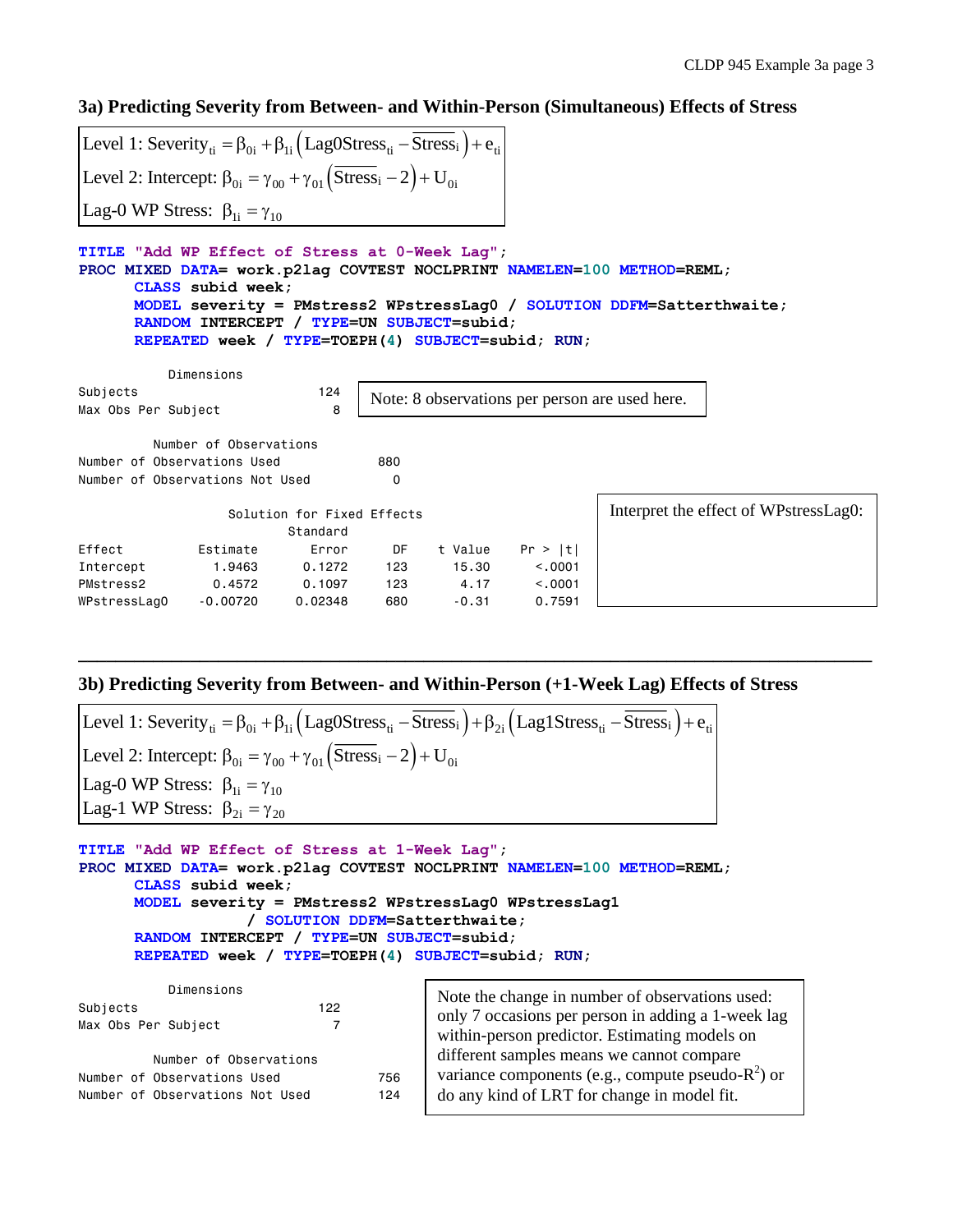**3a) Predicting Severity from Between- and Within-Person (Simultaneous) Effects of Stress**

| Level 1: Severity <sub>ti</sub> = $\beta_{0i}$ + $\beta_{1i}$ (Lag0Stress <sub>ti</sub> – Stress <sub>i</sub> ) + $e_{ti}$                                                                                                                                                                                                |                        |                                        |          |                                       |         |                                                |  |  |  |  |
|---------------------------------------------------------------------------------------------------------------------------------------------------------------------------------------------------------------------------------------------------------------------------------------------------------------------------|------------------------|----------------------------------------|----------|---------------------------------------|---------|------------------------------------------------|--|--|--|--|
| Level 2: Intercept: $\beta_{0i} = \gamma_{00} + \gamma_{01} (\overline{Stress}_i - 2) + U_{0i}$                                                                                                                                                                                                                           |                        |                                        |          |                                       |         |                                                |  |  |  |  |
| Lag-0 WP Stress: $\beta_{1i} = \gamma_{10}$                                                                                                                                                                                                                                                                               |                        |                                        |          |                                       |         |                                                |  |  |  |  |
| TITLE "Add WP Effect of Stress at 0-Week Laq";<br>PROC MIXED DATA= work.p21aq COVTEST NOCLPRINT NAMELEN=100 METHOD=REML;<br>CLASS subid week:<br>MODEL severity = PMstress2 WPstressLag0 / SOLUTION DDFM=Satterthwaite;<br>RANDOM INTERCEPT / TYPE=UN SUBJECT=subid;<br>REPEATED week / TYPE=TOEPH(4) SUBJECT=subid; RUN; |                        |                                        |          |                                       |         |                                                |  |  |  |  |
|                                                                                                                                                                                                                                                                                                                           | Dimensions             |                                        |          |                                       |         |                                                |  |  |  |  |
| Subjects<br>Max Obs Per Subject                                                                                                                                                                                                                                                                                           |                        | 124<br>8                               |          |                                       |         | Note: 8 observations per person are used here. |  |  |  |  |
|                                                                                                                                                                                                                                                                                                                           | Number of Observations |                                        |          |                                       |         |                                                |  |  |  |  |
| Number of Observations Used                                                                                                                                                                                                                                                                                               |                        |                                        | 880      |                                       |         |                                                |  |  |  |  |
| Number of Observations Not Used                                                                                                                                                                                                                                                                                           |                        |                                        | $\Omega$ |                                       |         |                                                |  |  |  |  |
|                                                                                                                                                                                                                                                                                                                           |                        | Solution for Fixed Effects<br>Standard |          | Interpret the effect of WPstressLag0: |         |                                                |  |  |  |  |
| Effect                                                                                                                                                                                                                                                                                                                    | Estimate               | Error                                  | DF       | t Value                               | Pr >  t |                                                |  |  |  |  |
| Intercept                                                                                                                                                                                                                                                                                                                 | 1,9463                 | 0.1272                                 | 123      | 15.30                                 | < 0.001 |                                                |  |  |  |  |
| PMstress2                                                                                                                                                                                                                                                                                                                 | 0.4572                 | 0.1097                                 | 123      | 4.17                                  | < 0.001 |                                                |  |  |  |  |
| WPstressLag0                                                                                                                                                                                                                                                                                                              | $-0.00720$             | 0.02348                                | 680      | $-0.31$                               | 0.7591  |                                                |  |  |  |  |

### **3b) Predicting Severity from Between- and Within-Person (+1-Week Lag) Effects of Stress**

**\_\_\_\_\_\_\_\_\_\_\_\_\_\_\_\_\_\_\_\_\_\_\_\_\_\_\_\_\_\_\_\_\_\_\_\_\_\_\_\_\_\_\_\_\_\_\_\_\_\_\_\_\_\_\_\_\_\_\_\_\_\_\_\_\_\_\_\_\_\_\_\_\_\_\_\_\_\_\_\_\_\_\_\_\_**

| Level 1: Severity <sub>ti</sub> = $\beta_{0i}$ + $\beta_{1i}$ (Lag0Stress <sub>ti</sub> - $\overline{Stress}_i$ ) + $\beta_{2i}$ (Lag1Stress <sub>ti</sub> - $\overline{Stress}_i$ ) + $e_{ti}$ |
|-------------------------------------------------------------------------------------------------------------------------------------------------------------------------------------------------|
| Level 2: Intercept: $\beta_{0i} = \gamma_{00} + \gamma_{01} (\overline{Stress}_i - 2) + U_{0i}$                                                                                                 |
| Lag-0 WP Stress: $\beta_{1i} = \gamma_{10}$                                                                                                                                                     |
| Lag-1 WP Stress: $\beta_{2i} = \gamma_{20}$                                                                                                                                                     |

**TITLE "Add WP Effect of Stress at 1-Week Lag"; PROC MIXED DATA= work.p2lag COVTEST NOCLPRINT NAMELEN=100 METHOD=REML; CLASS subid week; MODEL severity = PMstress2 WPstressLag0 WPstressLag1 / SOLUTION DDFM=Satterthwaite; RANDOM INTERCEPT / TYPE=UN SUBJECT=subid; REPEATED week / TYPE=TOEPH(4) SUBJECT=subid; RUN;**

| Dimensions<br>Subjects<br>Max Obs Per Subject | 122 | Note the change in number of observations used:<br>only 7 occasions per person in adding a 1-week lag<br>within-person predictor. Estimating models on |  |  |  |
|-----------------------------------------------|-----|--------------------------------------------------------------------------------------------------------------------------------------------------------|--|--|--|
| Number of Observations                        |     | different samples means we cannot compare                                                                                                              |  |  |  |
| Number of Observations Used                   | 756 | variance components (e.g., compute pseudo- $R^2$ ) or                                                                                                  |  |  |  |
| Number of Observations Not Used               | 124 | do any kind of LRT for change in model fit.                                                                                                            |  |  |  |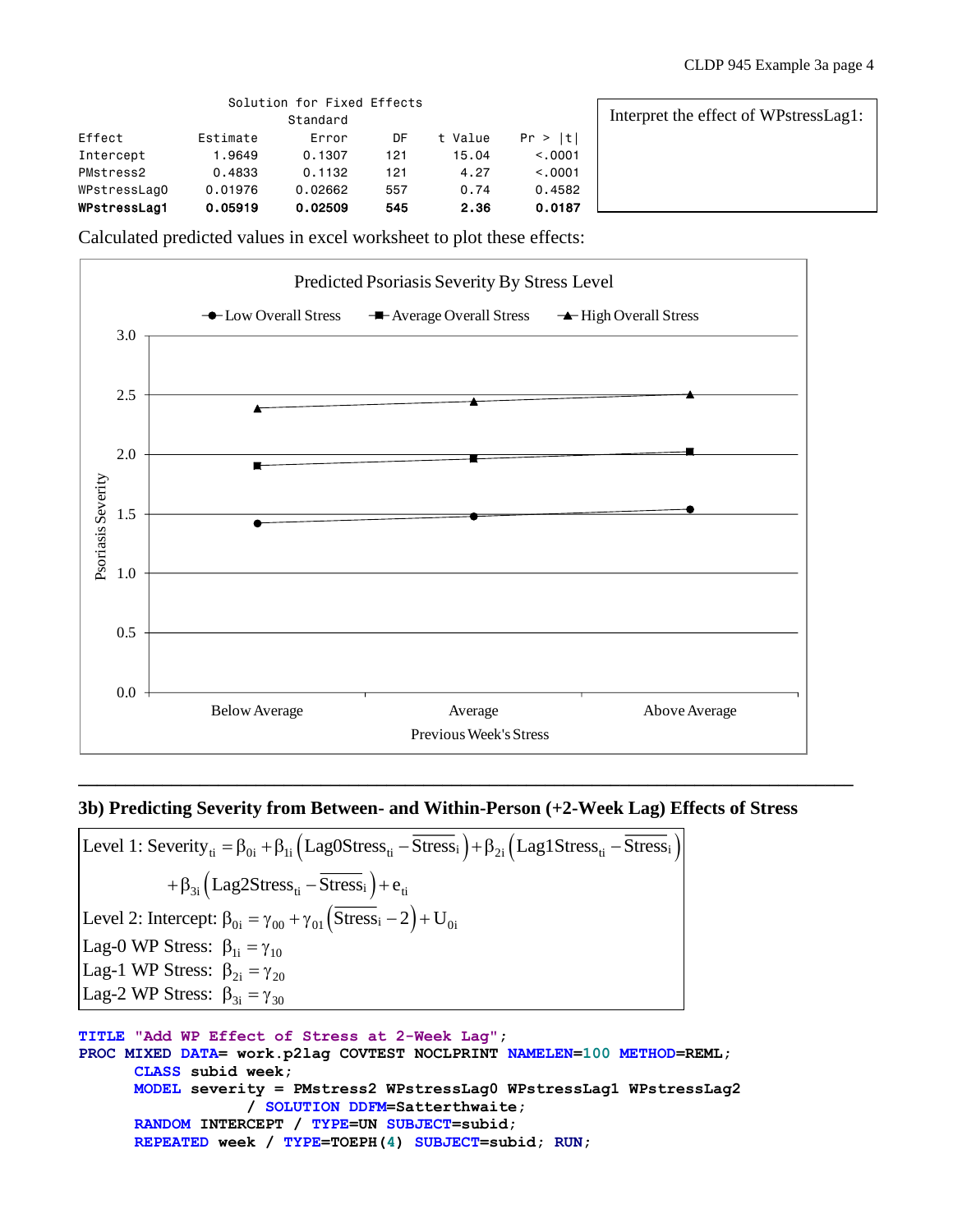|              |          | Solution for Fixed Effects<br>Standard |     |         |          | Interpret the effect of WPstressLag1: |
|--------------|----------|----------------------------------------|-----|---------|----------|---------------------------------------|
| Effect       | Estimate | Error                                  | DF  | t Value | Pr >  t  |                                       |
| Intercept    | 1,9649   | 0.1307                                 | 121 | 15.04   | < 0.0001 |                                       |
| PMstress2    | 0.4833   | 0.1132                                 | 121 | 4.27    | < 0.001  |                                       |
| WPstressLagO | 0.01976  | 0.02662                                | 557 | 0.74    | 0.4582   |                                       |
| WPstressLag1 | 0.05919  | 0.02509                                | 545 | 2.36    | 0.0187   |                                       |

Calculated predicted values in excel worksheet to plot these effects:



### **3b) Predicting Severity from Between- and Within-Person (+2-Week Lag) Effects of Stress**

**\_\_\_\_\_\_\_\_\_\_\_\_\_\_\_\_\_\_\_\_\_\_\_\_\_\_\_\_\_\_\_\_\_\_\_\_\_\_\_\_\_\_\_\_\_\_\_\_\_\_\_\_\_\_\_\_\_\_\_\_\_\_\_\_\_\_\_\_\_\_\_\_\_\_\_\_\_\_\_\_\_\_\_**

Level 1: Severity<sub>ti</sub> =  $\beta_{0i} + \beta_{1i} (\text{LagOStress}_{ti} - \overline{\text{Stress}}_i) + \beta_{2i} (\text{Lag1Stress}_{ti} - \overline{\text{Stress}}_i)$  $+ \beta_{3i} \left( \text{Lag2Stress}_{ti} - \overline{\text{Stress}}_i \right) + e_{ti}$ Level 2: Intercept:  $\beta_{0i} = \gamma_{00} + \gamma_{01} (\overline{Stress}_i - 2) + U_{0i}$ Lag-0 WP Stress:  $\beta_{1i} = \gamma_{10}$ Lag-1 WP Stress:  $\beta_{2i} = \gamma_{20}$ Lag-2 WP Stress:  $\beta_{3i} = \gamma_{30}$ 

```
TITLE "Add WP Effect of Stress at 2-Week Lag";
PROC MIXED DATA= work.p2lag COVTEST NOCLPRINT NAMELEN=100 METHOD=REML;
      CLASS subid week;
      MODEL severity = PMstress2 WPstressLag0 WPstressLag1 WPstressLag2 
                  / SOLUTION DDFM=Satterthwaite;
      RANDOM INTERCEPT / TYPE=UN SUBJECT=subid; 
      REPEATED week / TYPE=TOEPH(4) SUBJECT=subid; RUN;
```